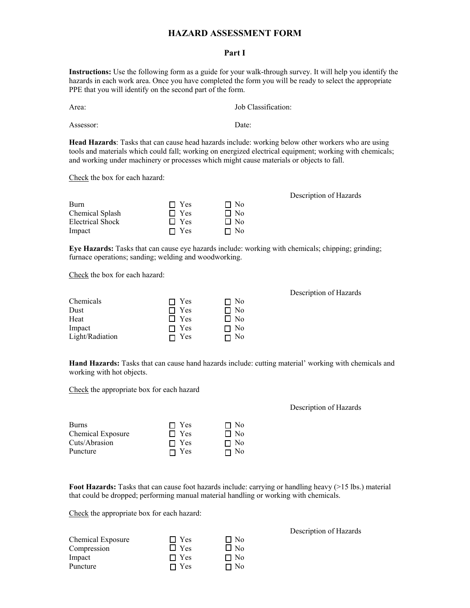## **HAZARD ASSESSMENT FORM**

## **Part I**

**Instructions:** Use the following form as a guide for your walk-through survey. It will help you identify the hazards in each work area. Once you have completed the form you will be ready to select the appropriate PPE that you will identify on the second part of the form.

Area: Job Classification:

Assessor: Date:

**Head Hazards**: Tasks that can cause head hazards include: working below other workers who are using tools and materials which could fall; working on energized electrical equipment; working with chemicals; and working under machinery or processes which might cause materials or objects to fall.

Check the box for each hazard:

| Burn             | $\Box$ Yes | $\Box$ No |
|------------------|------------|-----------|
| Chemical Splash  | $\Box$ Yes | $\Box$ No |
| Electrical Shock | $\Box$ Yes | $\Box$ No |
| Impact           | $\Box$ Yes | $\Box$ No |

Description of Hazards

**Eye Hazards:** Tasks that can cause eye hazards include: working with chemicals; chipping; grinding; furnace operations; sanding; welding and woodworking.

Check the box for each hazard:

| Chemicals       | $\Box$ Yes   | $\Box$ No |
|-----------------|--------------|-----------|
| Dust            | $\Box$ Yes   | $\Box$ No |
| Heat            | $\Box$ Yes   | $\Box$ No |
| Impact          | $\Box$ Yes   | $\Box$ No |
| Light/Radiation | $\sqcap$ Yes | $\Box$ No |

Description of Hazards

**Hand Hazards:** Tasks that can cause hand hazards include: cutting material' working with chemicals and working with hot objects.

Check the appropriate box for each hazard

## Description of Hazards

| Burns             | $\Box$ Yes   | $\Box$ No |
|-------------------|--------------|-----------|
| Chemical Exposure | $\Box$ Yes   | $\Box$ No |
| Cuts/Abrasion     | $\Gamma$ Yes | $\Box$ No |
| Puncture          | $\Box$ Yes   | $\Box$ No |

**Foot Hazards:** Tasks that can cause foot hazards include: carrying or handling heavy (>15 lbs.) material that could be dropped; performing manual material handling or working with chemicals.

Check the appropriate box for each hazard:

| Chemical Exposure<br>Compression | $\Box$ Yes<br>$\Box$ Yes | $\Box$ No<br>$\Box$ No |
|----------------------------------|--------------------------|------------------------|
| Impact                           | $\blacksquare$ Yes       | $\Box$ No              |
| Puncture                         | $\Box$ Yes               | $\Box$ No              |

Description of Hazards